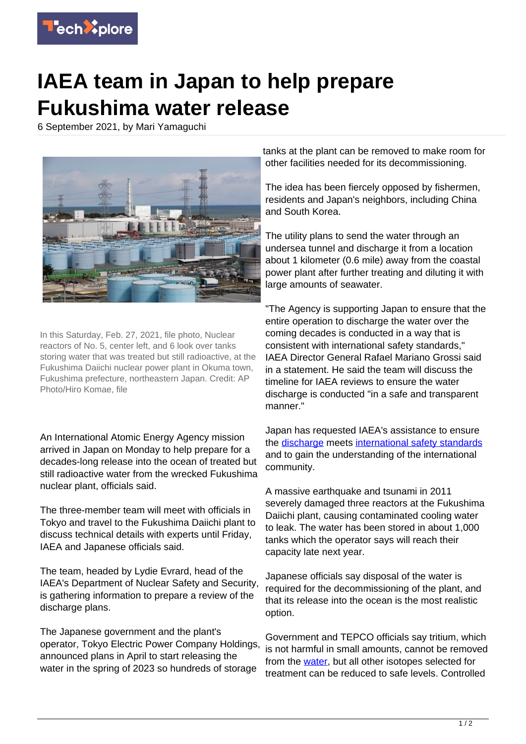

## **IAEA team in Japan to help prepare Fukushima water release**

6 September 2021, by Mari Yamaguchi



In this Saturday, Feb. 27, 2021, file photo, Nuclear reactors of No. 5, center left, and 6 look over tanks storing water that was treated but still radioactive, at the Fukushima Daiichi nuclear power plant in Okuma town, Fukushima prefecture, northeastern Japan. Credit: AP Photo/Hiro Komae, file

An International Atomic Energy Agency mission arrived in Japan on Monday to help prepare for a decades-long release into the ocean of treated but still radioactive water from the wrecked Fukushima nuclear plant, officials said.

The three-member team will meet with officials in Tokyo and travel to the Fukushima Daiichi plant to discuss technical details with experts until Friday, IAEA and Japanese officials said.

The team, headed by Lydie Evrard, head of the IAEA's Department of Nuclear Safety and Security, is gathering information to prepare a review of the discharge plans.

The Japanese government and the plant's operator, Tokyo Electric Power Company Holdings, announced plans in April to start releasing the water in the spring of 2023 so hundreds of storage

tanks at the plant can be removed to make room for other facilities needed for its decommissioning.

The idea has been fiercely opposed by fishermen, residents and Japan's neighbors, including China and South Korea.

The utility plans to send the water through an undersea tunnel and discharge it from a location about 1 kilometer (0.6 mile) away from the coastal power plant after further treating and diluting it with large amounts of seawater.

"The Agency is supporting Japan to ensure that the entire operation to discharge the water over the coming decades is conducted in a way that is consistent with international safety standards," IAEA Director General Rafael Mariano Grossi said in a statement. He said the team will discuss the timeline for IAEA reviews to ensure the water discharge is conducted "in a safe and transparent manner."

Japan has requested IAEA's assistance to ensure the [discharge](https://techxplore.com/tags/discharge/) meets [international safety standards](https://techxplore.com/tags/international+safety+standards/) and to gain the understanding of the international community.

A massive earthquake and tsunami in 2011 severely damaged three reactors at the Fukushima Daiichi plant, causing contaminated cooling water to leak. The water has been stored in about 1,000 tanks which the operator says will reach their capacity late next year.

Japanese officials say disposal of the water is required for the decommissioning of the plant, and that its release into the ocean is the most realistic option.

Government and TEPCO officials say tritium, which is not harmful in small amounts, cannot be removed from the [water,](https://techxplore.com/tags/water/) but all other isotopes selected for treatment can be reduced to safe levels. Controlled